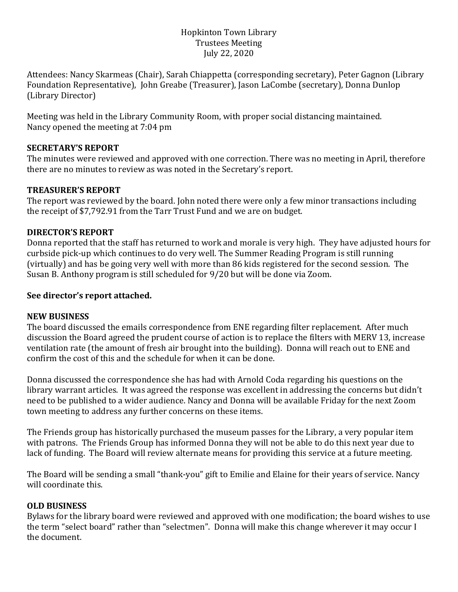## Hopkinton Town Library Trustees Meeting July 22, 2020

Attendees: Nancy Skarmeas (Chair), Sarah Chiappetta (corresponding secretary), Peter Gagnon (Library Foundation Representative), John Greabe (Treasurer), Jason LaCombe (secretary), Donna Dunlop (Library Director)

Meeting was held in the Library Community Room, with proper social distancing maintained. Nancy opened the meeting at 7:04 pm

## **SECRETARY'S REPORT**

The minutes were reviewed and approved with one correction. There was no meeting in April, therefore there are no minutes to review as was noted in the Secretary's report.

## **TREASURER'S REPORT**

The report was reviewed by the board. John noted there were only a few minor transactions including the receipt of \$7,792.91 from the Tarr Trust Fund and we are on budget.

# **DIRECTOR'S REPORT**

Donna reported that the staff has returned to work and morale is very high. They have adjusted hours for curbside pick-up which continues to do very well. The Summer Reading Program is still running (virtually) and has be going very well with more than 86 kids registered for the second session. The Susan B. Anthony program is still scheduled for 9/20 but will be done via Zoom.

## **See director's report attached.**

#### **NEW BUSINESS**

The board discussed the emails correspondence from ENE regarding filter replacement. After much discussion the Board agreed the prudent course of action is to replace the filters with MERV 13, increase ventilation rate (the amount of fresh air brought into the building). Donna will reach out to ENE and confirm the cost of this and the schedule for when it can be done.

Donna discussed the correspondence she has had with Arnold Coda regarding his questions on the library warrant articles. It was agreed the response was excellent in addressing the concerns but didn't need to be published to a wider audience. Nancy and Donna will be available Friday for the next Zoom town meeting to address any further concerns on these items.

The Friends group has historically purchased the museum passes for the Library, a very popular item with patrons. The Friends Group has informed Donna they will not be able to do this next year due to lack of funding. The Board will review alternate means for providing this service at a future meeting.

The Board will be sending a small "thank-you" gift to Emilie and Elaine for their years of service. Nancy will coordinate this.

# **OLD BUSINESS**

Bylaws for the library board were reviewed and approved with one modification; the board wishes to use the term "select board" rather than "selectmen". Donna will make this change wherever it may occur I the document.